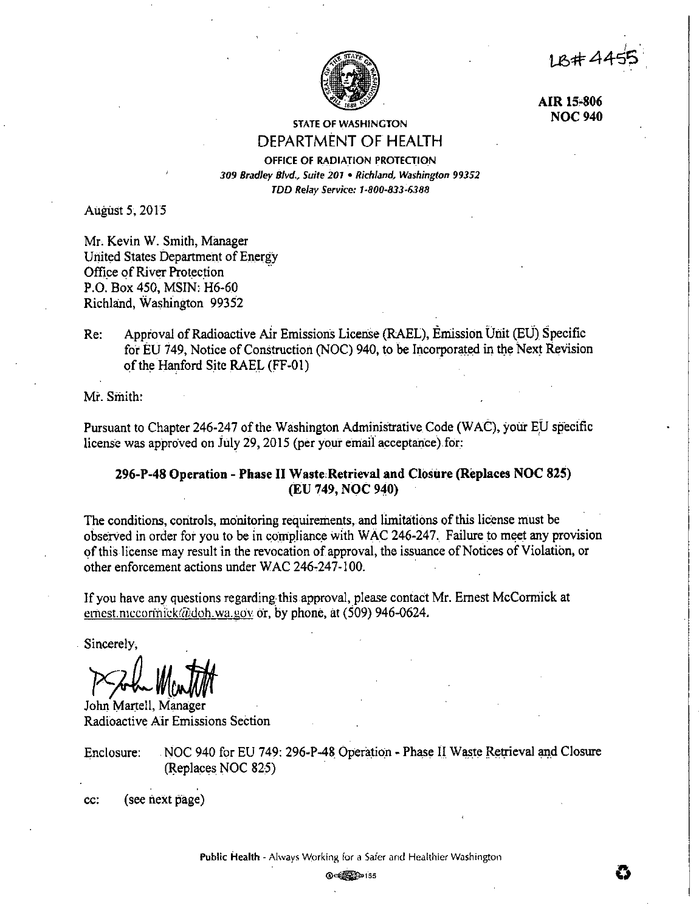LB#44



AIR 15-806 **NOC 940** 

# **STATE OF WASHINGTON** DEPARTMENT OF HEALTH

OFFICE OF RADIATION PROTECTION 309 Bradley Blvd., Suite 201 . Richland, Washington 99352 TDD Relay Service: 1-800-833-6388

August 5, 2015

Mr. Kevin W. Smith, Manager United States Department of Energy Office of River Protection P.O. Box 450, MSIN: H6-60 Richland, Washington 99352

Approval of Radioactive Air Emissions License (RAEL), Emission Unit (EU) Specific Re: for EU 749. Notice of Construction (NOC) 940, to be Incorporated in the Next Revision of the Hanford Site RAEL (FF-01)

Mr. Smith:

Pursuant to Chapter 246-247 of the Washington Administrative Code (WAC), your EU specific license was approved on July 29, 2015 (per your email acceptance) for:

# 296-P-48 Operation - Phase II Waste Retrieval and Closure (Replaces NOC 825) (EU 749, NOC 940)

The conditions, controls, monitoring requirements, and limitations of this license must be observed in order for you to be in compliance with WAC 246-247. Failure to meet any provision of this license may result in the revocation of approval, the issuance of Notices of Violation, or other enforcement actions under WAC 246-247-100.

If you have any questions regarding this approval, please contact Mr. Ernest McCormick at ernest mccormick@doh.wa.gov.or, by phone, at (509) 946-0624.

Sincerely.

John Martell, Manager Radioactive Air Emissions Section

NOC 940 for EU 749: 296-P-48 Operation - Phase II Waste Retrieval and Closure Enclosure: (Replaces NOC 825)

(see next page) cc:

**@**<<br /> **@**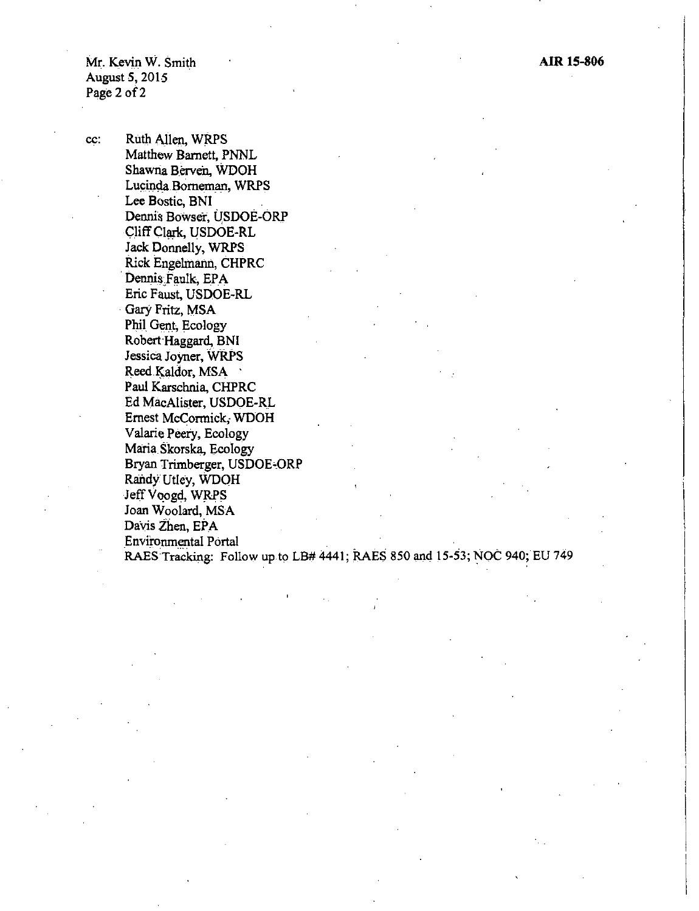Mr. Kevin W. Smith August *5,* 2015 Page 2 of 2

cc: Ruth Allen, WRPS Matthew Barnett, PNNL Shawna Berven, WDOH Lucinda Borneman, WRPS Lee Bostic, BNI Dennis Bowser, USDOE-ORP Cliff Clark, USDOE-RL Jack Donnelly, WRPS Rick Engelmann, CHPRC . Dennis Faulk, EPA Eric Faust, USDOE-RL Gary Fritz, MSA Phil Gent, Ecology Robert Haggard, BNI Jessica Joyner, WRPS Reed Kaldor, MSA Paul Karschnia, CHPRC Ed MacAlister, USDOE-R\_L Ernest McCormick; WDOH Valarie Peery, Ecology Maria.Skorska, Ecology Bryan Trimberger, USDOE-ORP Randy Utley, WDOH Jeff Voogd, WRPS Joan Woolard, MSA Davis Zhen, EPA Environmental Portal RAES Tracking: Follow up to LB# 4441; RAES 850 and 15-53; NOC 940; EU 749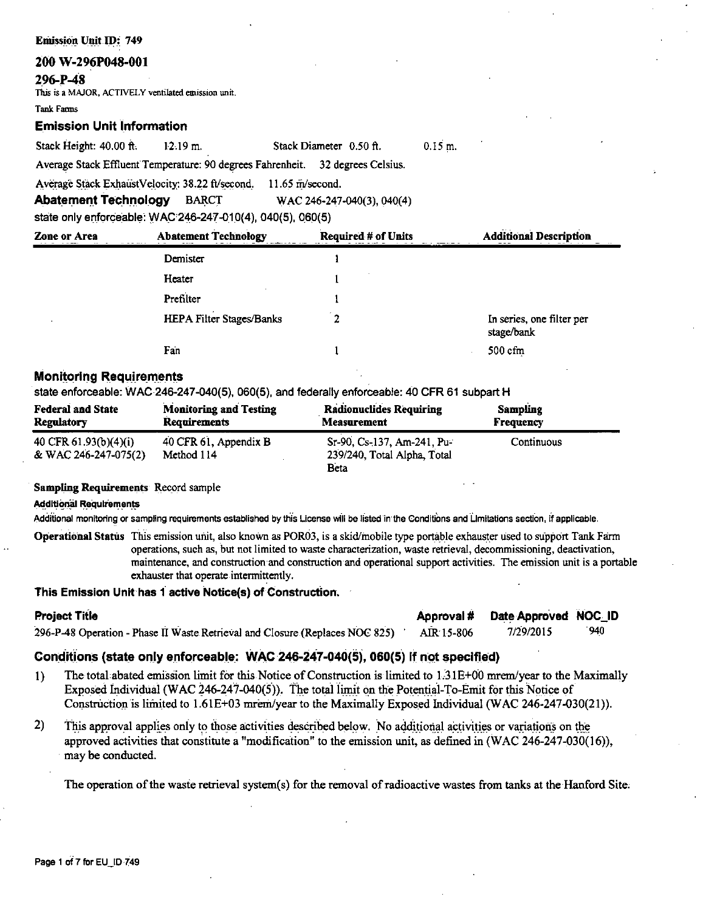# 200 W-296P048-001

# 296-P-48

This is a MAJOR, ACTIVELY ventilated emission unit.

**Took Forme** 

# **Emission Unit Information**

Stack Height: 40.00 ft.  $12.19$  m. Stack Diameter 0.50 ft.  $0.15$  m. Average Stack Effluent Temperature: 90 degrees Fahrenheit. 32 degrees Celsius.

Average Stack ExhaustVelocity: 38.22 ft/second. 11.65 m/second.

**Abatement Technology BARCT** WAC 246-247-040(3), 040(4)

state only enforceable: WAC 246-247-010(4), 040(5), 060(5)

| Zone or Area | <b>Abatement Technology</b> | <b>Required # of Units</b> | <b>Additional Description</b>           |  |
|--------------|-----------------------------|----------------------------|-----------------------------------------|--|
|              | Demister                    |                            |                                         |  |
|              | Heater                      |                            |                                         |  |
|              | Prefilter                   |                            |                                         |  |
|              | HEPA Filter Stages/Banks    | າ                          | In series, one filter per<br>stage/bank |  |
|              | Fan                         |                            | $500 \text{ cfm}$                       |  |

# **Monitoring Requirements**

state enforceable: WAC 246-247-040(5), 060(5), and federally enforceable: 40 CFR 61 subpart H

| <b>Federal and State</b>                      | <b>Monitoring and Testing</b>       | <b>Radionuclides Requiring</b>                                    | <b>Sampling</b> |
|-----------------------------------------------|-------------------------------------|-------------------------------------------------------------------|-----------------|
| <b>Regulatory</b>                             | <b>Requirements</b>                 | <b>Measurement</b>                                                | Frequency       |
| 40 CFR 61.93(b)(4)(i)<br>& WAC 246-247-075(2) | 40 CFR 61, Appendix B<br>Method 114 | Sr-90, Cs-137, Am-241, Pu-<br>239/240, Total Alpha, Total<br>Beta | Continuous      |

# **Sampling Requirements Record sample**

**Additional Requirements** 

Additional monitoring or sampling requirements established by this License will be listed in the Conditions and Limitations section. If applicable.

Operational Status This emission unit, also known as POR03, is a skid/mobile type portable exhauster used to support Tank Farm operations, such as, but not limited to waste characterization, waste retrieval, decommissioning, deactivation, maintenance, and construction and construction and operational support activities. The emission unit is a portable exhauster that operate intermittently.

# This Emission Unit has 1 active Notice(s) of Construction.

| <b>Project Title</b>                                                         | Approval # | Date Approved NOC_ID |      |
|------------------------------------------------------------------------------|------------|----------------------|------|
| 296-P-48 Operation - Phase II Waste Retrieval and Closure (Replaces NOC 825) | AIR 15-806 | 7/29/2015            | '940 |

# Conditions (state only enforceable: WAC 246-247-040(5), 060(5) if not specified)

- $1)$ The total abated emission limit for this Notice of Construction is limited to 1.3.1E+00 mrem/year to the Maximally Exposed Individual (WAC 246-247-040(5)). The total limit on the Potential-To-Emit for this Notice of Construction is limited to 1.61E+03 mrem/year to the Maximally Exposed Individual (WAC 246-247-030(21)).
- $2)$ This approval applies only to those activities described below. No additional activities or variations on the approved activities that constitute a "modification" to the emission unit, as defined in (WAC 246-247-030(16)). may be conducted.

The operation of the waste retrieval system(s) for the removal of radioactive wastes from tanks at the Hanford Site.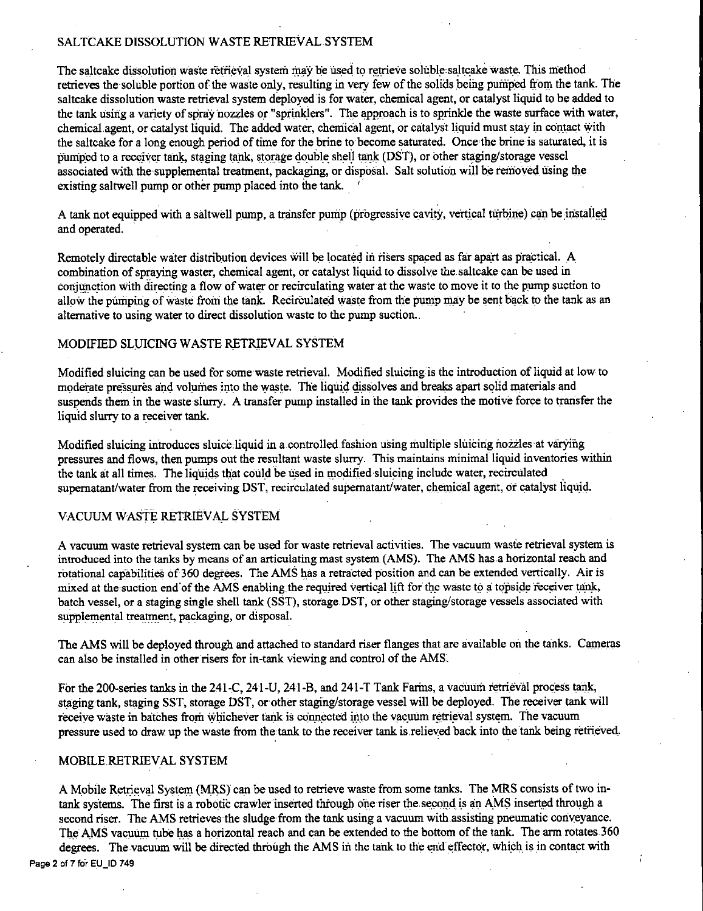# SALTCAKE DISSOLUTION WASTE RETRIEVAL SYSTEM

The saltcake dissolution waste retrieval system may be used to retrieve soluble saltcake waste. This method retrieves the soluble portion of the waste only, resulting in very few of the solids being pumped from the tank. The saltcake dissolution waste retrieval system deployed is for water, chemical agent, or catalyst liquid to be added to the tank using a variety of spray nozzles or "sprinklers". The approach is to sprinkle the waste surface with water, chemical agent, or catalyst liquid. The added water, chemical agent, or catalyst liquid must stay in contact with the saltcake for a long enough period of time for the brine to become saturated. Once the brine is saturated, it is pumped to a receiver tank, staging tank, storage double shell tank (DST), or other staging/storage vessel associated with the supplemental treatment, packaging, or disposal. Salt solution will be removed using the existing saltwell pump or other pump placed into the tank.

A tank not equipped with a saltwell pump, a transfer pump (progressive cavity, vertical turbine) can be installed and operated.

Remotely directable water distribution devices will be located in risers spaced as far apart as practical. A combination of spraying waster, chemical agent, or catalyst liquid to dissolve the saltcake can be used in conjunction with directing a flow of water or recirculating water at the waste to move it to the pump suction to allow the pumping of waste from the tank. Recirculated waste from the pump may be sent back to the tank as an alternative to using water to direct dissolution waste to the pump suction.

# MODIFIED SLIJICING WASTE RETRIEVAL SYSTEM

Modified sluicing can be used for some waste retrieval. Modified sluicing is the introduction of liquid at low to moderate pressures and volumes into the waste. The liquid dissolves and breaks apart solid materials and suspends them in the waste slurry. A transfer pump installed in the tank provides the motive force to transfer the liquid slurry to a receiver tank.

Modified sluicing introduces sluiceliquid in a.controlled fashion using multiple sluicing nozzles at varying pressures and flows, then pumps out the resultant waste slurry. This maintains minimal liquid inventories within the tank at all times. The liquids that could be used in modified sluicing include water, recirculated supernatant/water from the receiving DST, recirculated supernatant/water, chemical agent, or catalyst liquid.

# VACUUM WASTE RETRIEVAL SYSTEM

A vacuum waste retrieval system can be used for waste retrieval activities. The vacuum waste retrieval system is introduced into the tanks by means of an aniculating mast system (AMS). The AMS has a horizontal reach and rotational capabilities of 360 degrees. The AMS has a retracted position and can be extended vertically. Air is mixed at the suction end of the AMS enabling the required vertical lift for the waste to a topside receiver tank, batch vessel, or a staging single shell tank (SST), storage DST, or other staging/storage vessels associated with supplemental treatment, packaging, or disposal.

The AMS will be deployed through and attached to standard riser flanges that are available on the tanks. Cameras can also be installed in other risers for in-tank viewing and control of the AMS.

For the 200-series tanks in the 241-C, 241-U, 241-B, and 241-T Tank Farms, a vacuum retrieval process tank, staging tank, staging SST, storage DST, or other staging/storage vessel will be deployed. The receiver tank will receive waste in batches from whichever tank is connected into the vacuum retrieval system. The vacuum pressure used to draw up the waste from the tank to the receiver tank is.relieved back into the tank being retrieved\_.

# MOBILE.RETRIEVAL SYSTEM

A Mobile Retrieval System (MRS) can be used to retrieve waste from some tanks. The MRS consists of two intank systems. The first is a robotic crawler inserted through one riser the second is an AMS inserted through a second riser. The AMS retrieves the sludge from the tank using a vacuum with assisting pneumatic conveyance. The AMS vacuum tube has a horizontal reach and can be extended to the bottom of the tank. The arm rotates 360 degrees. The vacuum will be directed through the AMS in the tank to the end effector, which is in contact with Page 2 of 7 for EU\_ID 749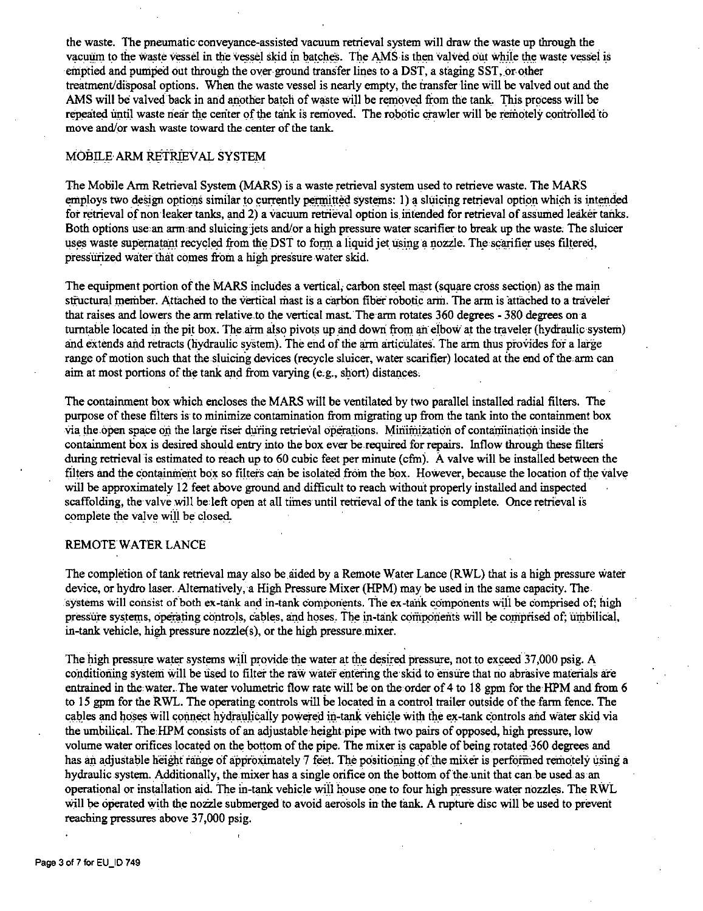the waste. The pneumatic conveyance-assisted vacuum retrieval system will draw the waste up through the vacuum to the waste vessel in the vessel skid in batches. The AMS is then valved out while the waste vessel is emptied and pumped out through the over ground transfer lines to a DST, a staging SST, or-other treatment/disposal options. When the waste vessel is nearly empty, the iransfer line will be valved out and the AMS will be valved back in and another batch of waste will be removed from the tank. This process will be repeated until waste near the center of the tank is removed. The robotic crawler will be remotely controlled to move and/or wash waste toward the center of the tank.

# MOBILE ARM RETRIEVAL SYSTEM

The Mobile Arm Retrieval System (MARS) is a waste retrieval system used to retrieve waste. The MARS employs two design options similar to currently permitted systems: 1) a sluicing retrieval option which is intended for retrieval of non leaker tanks, and 2) a vacuum retrieval option is. intended for retrieval of assumed leaker tanks. Both options use an arm and sluicing jets and/or a high pressure water scarifier to break up the waste. The sluicer uses waste supernatant recycled from the DST to form a liquid jet using a nozzle. The scarifier uses filtered, pressurized water that comes from a high pressure water skid.

The equipment portion of the MARS includes a vertical, carbon steel mast (square cross section) as the main structural member. Attached to the vertical mast is a carbon fiber robotic arm. The arm is attached to a traveler that raises and lowers the arm relative to the vertical mast. The arm rotates 360 degrees - 380 degrees on a turntable located in the pit box. The arm also pivots up and down from an elbow at the traveler (hydraulic system) and extends and retracts (hydraulic system). The end of the arm articulates. The arm thus provides for a large range of motion such that the sluicing devices (recycle sluicer, water scarifier) located at the end of the arm can aim at most portions of the tank and from varying  $(e.g., short)$  distances.

The containment box which encloses the MARS will be ventilated by two parallel installed radial filters. The purpose of these fiiters is to minimize contamination from migrating up from the tank into the containment box via the open space on the large riser during retrieval operations. Minimization of contamination inside the containment box is desired should entry into the box ever be required for repairs. Inflow through these filters during retrieval is estimated to reach up to 60 cubic feet per minute (cfm). A valve will be installed between the filters and the containment box so filters can be isolated from the box. However, because the location of the valve will be approximately 12 feet above ground and difficult to reach without properly installed and inspected scaffolding, the valve will be left open at all times until retrieval of the tank is complete. Once retrieval is complete the valve will be closed.

# REMOTE WATER LANCE

The completion of tank retrieval may also be aided by a Remote Water Lance (RWL) that is a high pressure water device, or hydro laser. Alternatively, a High Pressure Mixer (RPM) may be used in the same capacity. The systems will consist of both ex-tank and in-tank components. The ex-tank components will be comprised of; high pressure systems, operating controls, cables, and hoses. The in-tank components will be comprised of; umbilical, in-tank vehicle, high pressure nozzle(s), or the high pressure mixer.

The high pressure water systems will provide the water at the desired pressure, not to exceed 37,000 psig. A conditioning system will be used to filter the raw water entering the skid to ensure that no abrasive materials are entrained in the water. The water volumetric flow rate will be on the order of 4 to 18 gpm for the HPM and from 6 to 15 gpm for the RWL. The operating controls will be located in a control trailer outside of the farm fence. The cables and hoses will connect hydraulically powered in-tank vehicle with the ex-tank controls and water skid via the umbilical. The HPM consists of an adjustable height pipe with two pairs of opposed, high pressure, low volume water orifices located on the bottom of the pipe. The mixer is capable of being rotated 360 degrees and has an adjustable height range of approximately 7 feet. The positioning of the mixer is performed remotely using a hydraulic system. Additionally, the mixer has a single orifice on the bottom of the unit that can be used as an operational or installation aid. The in-tank vehicle will house one to four high pressure water nozzles. The RWL will be operated with the nozzle submerged to avoid aerosols in the tank. A rupture disc will be used to prevent reaching pressures above 37,000 psig.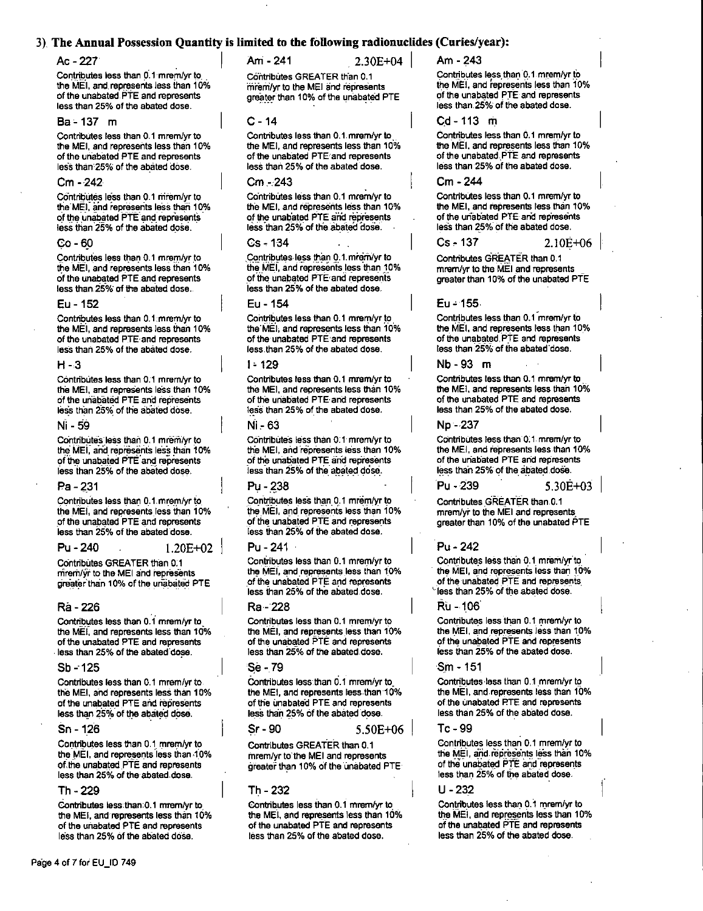# 3) The Annual Possession Quantity is limited to the following radionuclides (Curies/year):

# Ac - 227

Contributes less than 0.1 mrem/yr to the MEI, and represents less than 10% of the unabated PTE and represents less than 25% of the abated dose.

## Ba - 137 m

Contributes less than 0.1 mrem/yr to the MEI, and represents less than 10% of the unabated PTE and represents less than 25% of the abated dose.

#### $Cm - 242$

Contributes less than 0.1 mrem/yr to the MEI, and represents less than 10% of the unabated PTE and represents less than 25% of the abated dose.

#### Co - 60

Contributes less than 0.1 mrem/yr to the MEI, and represents less than 10% of the unabated PTE and represents less than 25% of the abated dose.

#### Eu - 152

Contributes less than 0.1 mrem/yr to the MEI, and represents less than 10% of the unabated PTE and represents less than 25% of the abated dose.

### $H - 3$

Contributes less than 0.1 mrem/yr to the MEI, and represents less than 10% of the unabated PTE and represents less than 25% of the abated dose.

## Ni - 59

Contributes less than 0.1 mrem/yr to the MEI, and represents less than 10% of the unabated PTE and represents less than 25% of the abated dose.

#### Pa - 231

Contributes less than 0.1 mrem/yr to the MEI, and represents less than 10% of the unabated PTE and represents less than 25% of the abated dose.

#### Pu - 240  $1.20E + 02$

Contributes GREATER than 0.1 mrem/yr to the MEI and represents greater than 10% of the unabated PTE

#### Ra - 226

Contributes less than 0.1 mrem/yr to the MEI, and represents less than 10% of the unabated PTE and represents less than 25% of the abated dose.

#### $Sb - 125$

Contributes less than 0.1 mrem/yr to the MEI, and represents less than 10% of the unabated PTE and represents less than 25% of the abated dose.

## Sn - 126

Contributes less than 0.1 mrem/yr to the MEI, and represents less than 10% of the unabated PTE and represents less than 25% of the abated dose.

## Th - 229

Contributes less than 0.1 mrem/yr to the MEI, and represents less than 10% of the unabated PTE and represents less than 25% of the abated dose.

Am - 241

Contributes GREATER than 0.1 mrem/yr to the MEI and represents greater than 10% of the unabated PTE

 $2.30E + 04$ 

#### $C - 14$

Contributes less than 0.1 mrem/yr to the MEI, and represents less than 10% of the unabated PTE and represents less than 25% of the abated dose.

## Cm - 243

Contributes less than 0.1 mrem/yr to the MEI, and represents less than 10% of the unabated PTE and represents less than 25% of the abated dose.

#### $Cs - 134$

Contributes less than 0.1 mrem/yr to the MEI, and represents less than 10% of the unabated PTE and represents less than 25% of the abated dose.

## Eu - 154

Contributes less than 0.1 mrem/yr to the MEI, and represents less than 10% of the unabated PTE and represents less than 25% of the abated dose.

# $1 - 129$

Contributes less than 0.1 mrem/yr to the MEI, and represents less than 10% of the unabated PTE and represents less than 25% of the abated dose.

# Ni - 63

Contributes less than 0.1 mrem/yr to the MEI, and represents less than 10% of the unabated PTE and represents less than 25% of the abated dose.

# Pu - 238

Contributes less than 0.1 mrem/yr to the MEI, and represents less than 10% of the unabated PTE and represents less than 25% of the abated dose.

## Pu - 241

Contributes less than 0.1 mrem/yr to the MEI, and represents less than 10% of the unabated PTE and represents less than 25% of the abated dose.

#### Ra - 228

Contributes less than 0.1 mrem/vr to the MEI, and represents less than 10% of the unabated PTE and represents less than 25% of the abated dose.

# Se - 79

Contributes less than 0.1 mrem/vr to the MEI, and represents less than 10% of the unabated PTE and represents less than 25% of the abated dose.

#### $Sr-90$

Contributes GREATER than 0.1 mrem/yr to the MEI and represents greater than 10% of the unabated PTE

 $5.50E + 06$ 

# Th - 232

Contributes less than 0.1 mrem/yr to the MEI, and represents less than 10% of the unabated PTE and represents less than 25% of the abated dose.

 $Am - 243$ 

Contributes less than 0.1 mrem/yr to the MEI, and represents less than 10% of the unabated PTE and represents less than 25% of the abated dose.

### $Cd - 113$  m

Contributes less than 0.1 mrem/vr to the MEI, and represents less than 10% of the unabated PTE and represents less than 25% of the abated dose.

# Cm - 244

Contributes less than 0.1 mrem/yr to the MEI, and represents less than 10% of the unabated PTE and represents less than 25% of the abated dose.

#### $Cs - 137$

 $2.10E + 06$ 

Contributes GREATER than 0.1 mrem/vr to the MEI and represents greater than 10% of the unabated PTE

## $Eu - 155$

Contributes less than 0.1 mrem/yr to the MEI, and represents less than 10% of the unabated PTE and represents less than 25% of the abated dose.

#### Nb-93 m

Contributes less than 0.1 mrem/yr to the MEI, and represents less than 10% of the unabated PTE and represents less than 25% of the abated dose.

## Np - 237

Pu - 239

Contributes less than 0.1 mrem/yr to the MEI, and represents less than 10% of the unabated PTE and represents less than 25% of the abated dose.

## $5.30E + 03$

Contributes GREATER than 0.1 mrem/yr to the MEI and represents greater than 10% of the unabated PTE

# Pu - 242

Contributes less than 0.1 mrem/yr to the MEI, and represents less than 10% of the unabated PTE and represents less than 25% of the abated dose.

## Ru - 106

Contributes less than 0.1 mrem/yr to the MEI, and represents less than 10% of the unabated PTE and represents less than 25% of the abated dose.

## Sm - 151

Contributes less than 0.1 mrem/yr to the MEI, and represents less than 10% of the unabated PTE and represents less than 25% of the abated dose.

# $Tc - 99$

Contributes less than 0.1 mrem/yr to the MEI, and represents less than 10% of the unabated PTE and represents less than 25% of the abated dose.

 $U - 232$ 

Contributes less than 0.1 mrem/yr to the MEI, and represents less than 10% of the unabated PTE and represents less than 25% of the abated dose.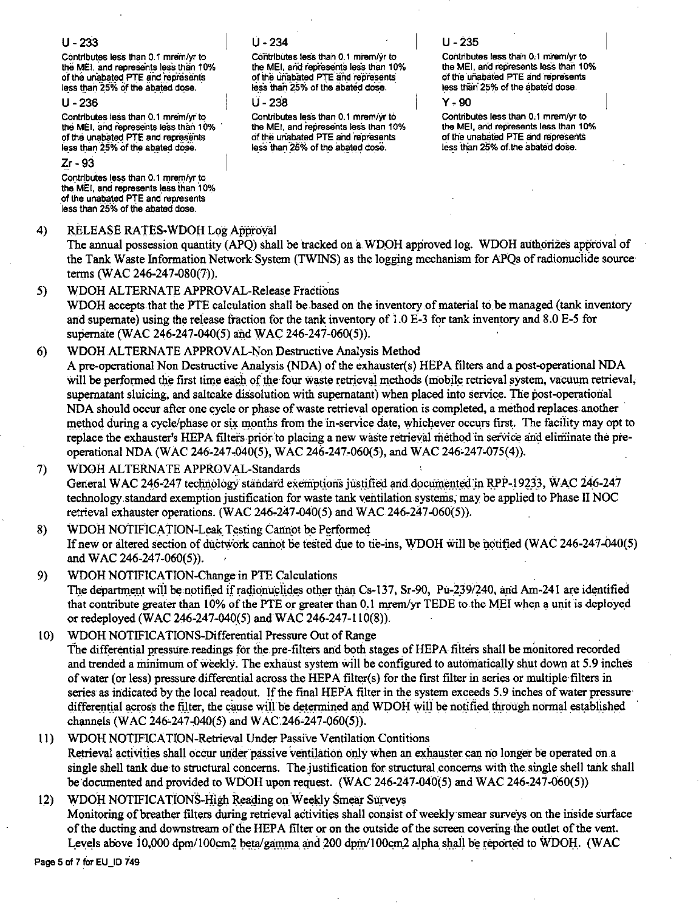# $U - 233$

Contributes less than 0.1 mrem/yr to the MEI, and represents less than 10% of the unabated PTE and represents less than 25% of the abated dose.

# $11 - 236$

Contributes less than 0.1 mrem/vr to the MEI, and represents less than 10% of the unabated PTE and represents less than 25% of the abated dose.

# $Zr - 93$

Contributes less than 0.1 mrem/yr to the MEI, and represents less than 10% of the unabated PTE and represents less than 25% of the abated dose.

#### $\overline{4}$ RELEASE RATES-WDOH Log Approval

 $U - 234$ 

Contributes less than 0.1 mrem/yr to the MEI, and represents less than 10% of the unabated PTE and represents less than 25% of the abated dose.

 $11 - 238$ 

Contributes less than 0.1 mrem/vr to the MEI, and represents less than 10% of the unabated PTE and represents less than 25% of the abated dose.

# $U - 235$

Contributes less than 0.1 mrem/yr to the MEI, and represents less than 10% of the unabated PTE and represents less than 25% of the abated dose.

 $Y - Q<sub>0</sub>$ 

Contributes less than 0.1 mrem/vr to the MEI, and represents less than 10% of the unabated PTE and represents less than 25% of the abated dose.

The annual possession quantity (APO) shall be tracked on a WDOH approved log. WDOH authorizes approval of the Tank Waste Information Network System (TWINS) as the logging mechanism for APQs of radionuclide source terms (WAC 246-247-080(7)).

#### $5)$ WDOH ALTERNATE APPROVAL-Release Fractions

WDOH accepts that the PTE calculation shall be based on the inventory of material to be managed (tank inventory and supernate) using the release fraction for the tank inventory of 1.0 E-3 for tank inventory and 8.0 E-5 for supernate (WAC 246-247-040(5) and WAC 246-247-060(5)).

#### $6)$ WDOH ALTERNATE APPROVAL-Non Destructive Analysis Method

A pre-operational Non Destructive Analysis (NDA) of the exhauster(s) HEPA filters and a post-operational NDA will be performed the first time each of the four waste retrieval methods (mobile retrieval system, vacuum retrieval, supernatant sluicing, and saltcake dissolution with supernatant) when placed into service. The post-operational NDA should occur after one cycle or phase of waste retrieval operation is completed, a method replaces another method during a cycle/phase or six months from the in-service date, whichever occurs first. The facility may opt to replace the exhauster's HEPA filters prior to placing a new waste retrieval method in service and eliminate the preoperational NDA (WAC 246-247-040(5), WAC 246-247-060(5), and WAC 246-247-075(4)).

WDOH ALTERNATE APPROVAL-Standards 7) General WAC 246-247 technology standard exemptions justified and documented in RPP-19233, WAC 246-247 technology standard exemption justification for waste tank ventilation systems, may be applied to Phase II NOC retrieval exhauster operations. (WAC 246-247-040(5) and WAC 246-247-060(5)).

WDOH NOTIFICATION-Leak Testing Cannot be Performed 8) If new or altered section of ductwork cannot be tested due to tie-ins, WDOH will be notified (WAC 246-247-040(5) and WAC 246-247-060(5)).

- WDOH NOTIFICATION-Change in PTE Calculations  $9)$ The department will be notified if radionuclides other than Cs-137, Sr-90, Pu-239/240, and Am-241 are identified that contribute greater than 10% of the PTE or greater than 0.1 mrem/yr TEDE to the MEI when a unit is deployed or redeployed (WAC 246-247-040(5) and WAC 246-247-110(8)).
- WDOH NOTIFICATIONS-Differential Pressure Out of Range  $10<sup>1</sup>$ The differential pressure readings for the pre-filters and both stages of HEPA filters shall be monitored recorded and trended a minimum of weekly. The exhaust system will be configured to automatically shut down at 5.9 inches of water (or less) pressure differential across the HEPA filter(s) for the first filter in series or multiple filters in series as indicated by the local readout. If the final HEPA filter in the system exceeds 5.9 inches of water pressure differential across the filter, the cause will be determined and WDOH will be notified through normal established channels (WAC 246-247-040(5) and WAC 246-247-060(5)).
- WDOH NOTIFICATION-Retrieval Under Passive Ventilation Contitions  $11$ Retrieval activities shall occur under passive ventilation only when an exhauster can no longer be operated on a single shell tank due to structural concerns. The justification for structural concerns with the single shell tank shall be documented and provided to WDOH upon request. (WAC 246-247-040(5) and WAC 246-247-060(5))

# WDOH NOTIFICATIONS-High Reading on Weekly Smear Surveys  $12)$ Monitoring of breather filters during retrieval activities shall consist of weekly smear surveys on the inside surface of the ducting and downstream of the HEPA filter or on the outside of the screen covering the outlet of the vent. Levels above 10,000 dpm/100cm2 beta/gamma and 200 dpm/100cm2 alpha shall be reported to WDOH. (WAC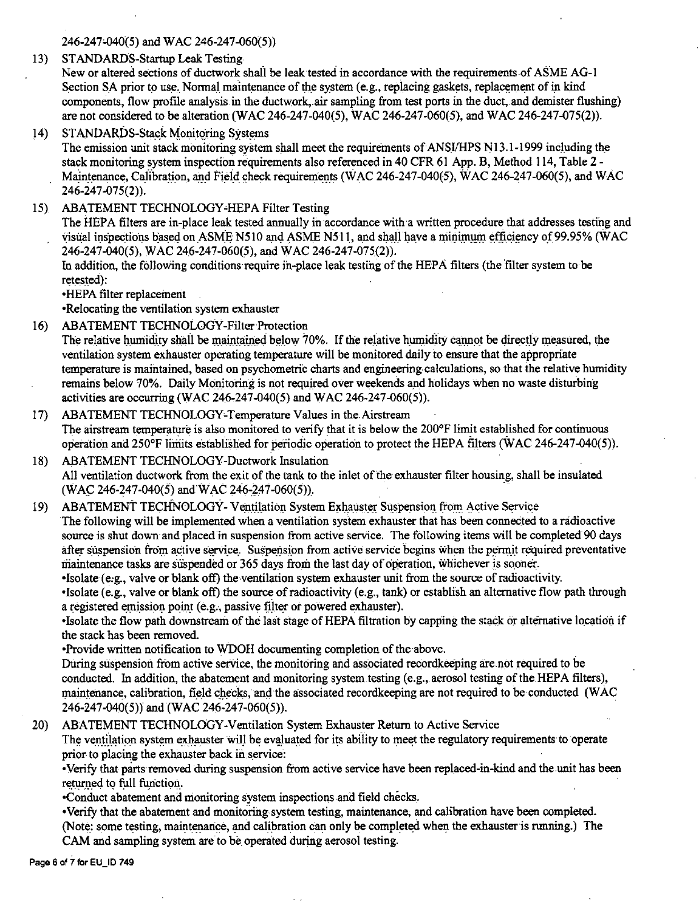246-247'-040(5) and WAC 246-247-060(5))

13) STANDAROS-Startup Leak Testing

New or altered sections of ductwork shall be leak tested in accordance with the requirements of ASME AG-I Section SA prior to use. Normal maintenance of the system (e.g., replacing gaskets, replacement of in kind components, flow profile analysis in the ductwork, air sampling from test ports in the duct, and demister flushing) are not considered to be alteration(WAC 246-247-040(5), WAC 246-247-060(5), and WAC 246-247-075(2)).

14) STANDARDS-Stack Monitoring Systems

The emission unit stack monitoring system shall meet the requirements of ANSI/HPS N13.1-1999 including the stack monitoring system inspection requirements also referenced in 40 CFR 61 App. B, Method 114, Table 2 - Maintenance, Calibration, and Field check requirements (WAC 246-247-040(5), WAC 246-247-060(5), and WAC 246-247-075(2)).

15) ABATEMENT TECHNOLOGY-HEPA Filter Testing

The HEPA filters are in-place leak tested annually in accordance with a written procedure that addresses testing and visual inspections based on ASME N510 and ASME N511, and shall have a minimum efficiency of 99.95% (WAC 246-247-040(5), WAC 246-247-060(5), and WAC 246-247-075(2)).

In addition, the following conditions require in-place leak testing of the HEPA filters (the filter system to be retested):

•HEPA filter replacement

•Relocating the ventilation system exhauster

- 16) ABATEMENT TECHNOLOGY-Filter Protection The relative humidity shall be maintained below 70%. If the relative humidity cannot be directly measured, the ventilation system exhauster operating temperature will be monitored daily to ensure that the appropriate temperature is maintained, based on psychometric charts and engineering-calculations, so that the relative humidity remains below 70%. Daily Monitoring is not required over weekends and holidays when no waste disturbing activities are occurring (WAC 246-247-040(5) and WAC 246-247-060(5)).
- 17) ABATEMENT TECHNOLOGY-Temperature Values in the Airstream The airstream temperature is also monitored to verify that it is below the 200°F limit established for continuous operation and 250°F liriiits established for periodic operation to protect the HEPA filters (WAC 246-247-040(5)).
- 18) ABATEMENT TECHNOLOGY-Ductwork Insulation All ventilation ductwork from the exit of the tank to the inlet of the exhauster filter housing, shall be insulated  $(WAC 246-247-040(5)$  and  $WAC 246-247-060(5)$ .
- 19) ABATEMENT TECHNOLOGY- Ventilation System Exhauster Suspension from Active Service The following will be implemented when a ventilation system exhauster that has been connected to a radioactive source is shut down and placed in suspension from active service. The following items will be completed 90 days after suspension from active service. Suspension from active service begins when the permit required preventative maintenance tasks are suspended or 365 days from the last day of operation, whichever is sooner.

•Isolate ( e,g., valve or blank off) the-ventilation system exhauster unit from the source of radioactivity.

•Isolate (e.g., valve or blank off) the source of radioactivity (e.g., tank) or establish an alternative flow path through a registered emission point (e.g., passive filter or powered exhauster).

•Isolate the flow path downstream of the last stage of HEPA filtration by capping the stack or alternative location if the stack has been removed.

•Provide written notification to WDOH documenting completion of the above.

During suspension from active service, the monitoring and associated recordkeeping are not required to be conducted. In addition, the abatement and monitoring system.testing (e.g.,.aerosol testing of the HEPA filters), maintenance, calibration, field checks, and the associated recordkeeping are not required to be conducted (WAC 246-247-040(5)) and(WAC 246-247-060(5)).

20) ABATEMENT TECHNOLOGY-Ventilation System Exhauster Return to Active Service

The ventilation system exhauster will be evaluated for its ability to meet the regulatory requirements to operate prior to placing the exhauster back in service:

•Verify that parts removed during suspension from active service have been replaced-in-kind and the unit has been returned to full function.

•Conduct abatement and monitoring system inspections and field checks.

• Verify that the abatement and monitoring system testing, maintenance, and calibration have been completed. (Note: some testing, maintenance, and calibration can only be completed when the exhauster is running.) The CAM and sampling system are to be\_ operated during aerosol testing.

Page 6 of 7 for EU\_ID 749